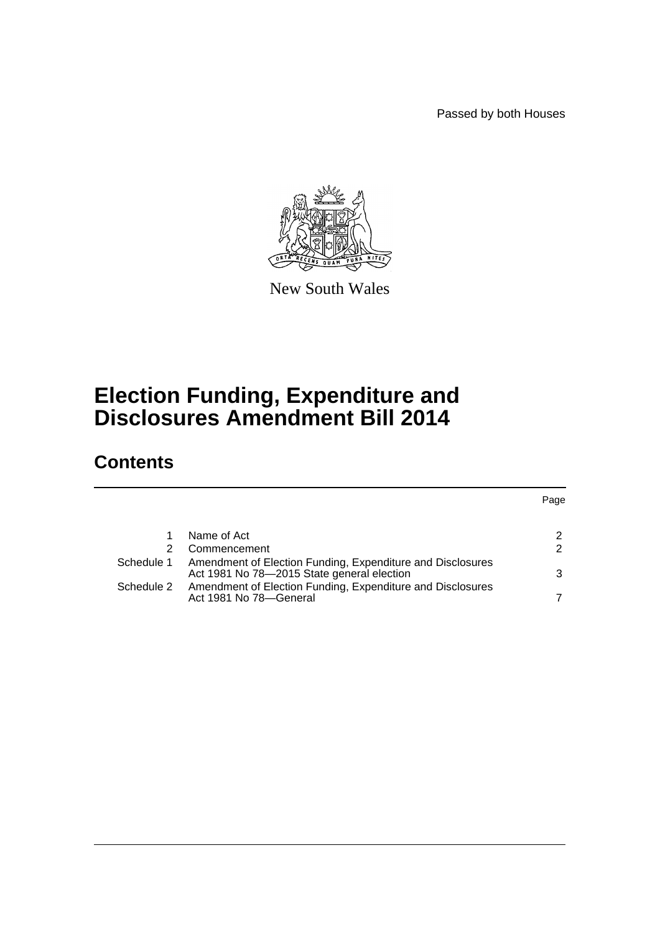Passed by both Houses



New South Wales

# **Election Funding, Expenditure and Disclosures Amendment Bill 2014**

# **Contents**

| 1          | Name of Act                                                                                              | 2 |
|------------|----------------------------------------------------------------------------------------------------------|---|
| 2.         | Commencement                                                                                             | 2 |
| Schedule 1 | Amendment of Election Funding, Expenditure and Disclosures<br>Act 1981 No 78-2015 State general election | 3 |
| Schedule 2 | Amendment of Election Funding, Expenditure and Disclosures<br>Act 1981 No 78-General                     | 7 |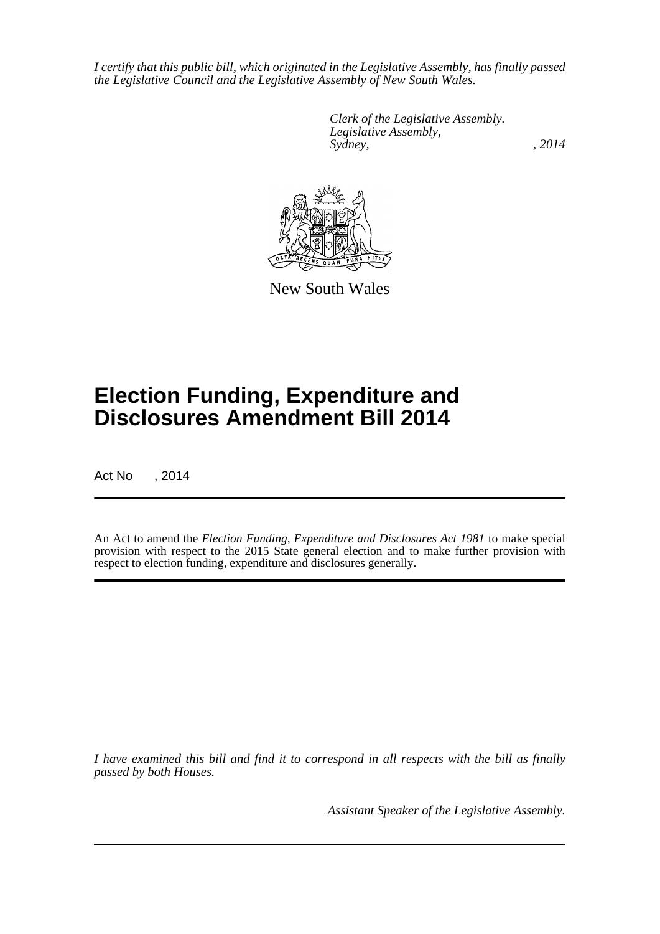*I certify that this public bill, which originated in the Legislative Assembly, has finally passed the Legislative Council and the Legislative Assembly of New South Wales.*

> *Clerk of the Legislative Assembly. Legislative Assembly, Sydney,* , 2014



New South Wales

# **Election Funding, Expenditure and Disclosures Amendment Bill 2014**

Act No , 2014

An Act to amend the *Election Funding, Expenditure and Disclosures Act 1981* to make special provision with respect to the 2015 State general election and to make further provision with respect to election funding, expenditure and disclosures generally.

*I have examined this bill and find it to correspond in all respects with the bill as finally passed by both Houses.*

*Assistant Speaker of the Legislative Assembly.*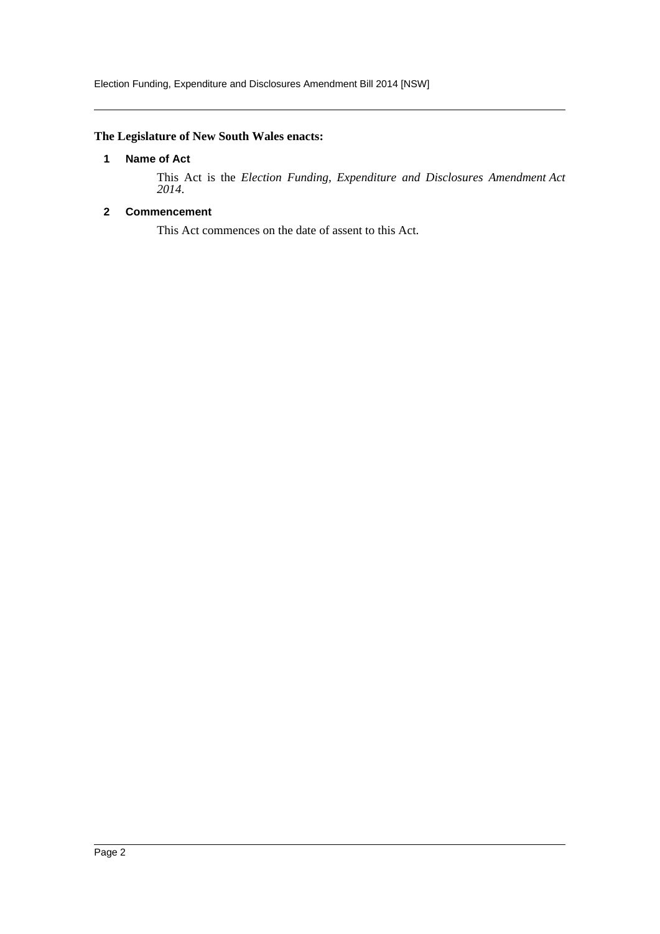## <span id="page-2-0"></span>**The Legislature of New South Wales enacts:**

#### **1 Name of Act**

This Act is the *Election Funding, Expenditure and Disclosures Amendment Act 2014*.

## <span id="page-2-1"></span>**2 Commencement**

This Act commences on the date of assent to this Act.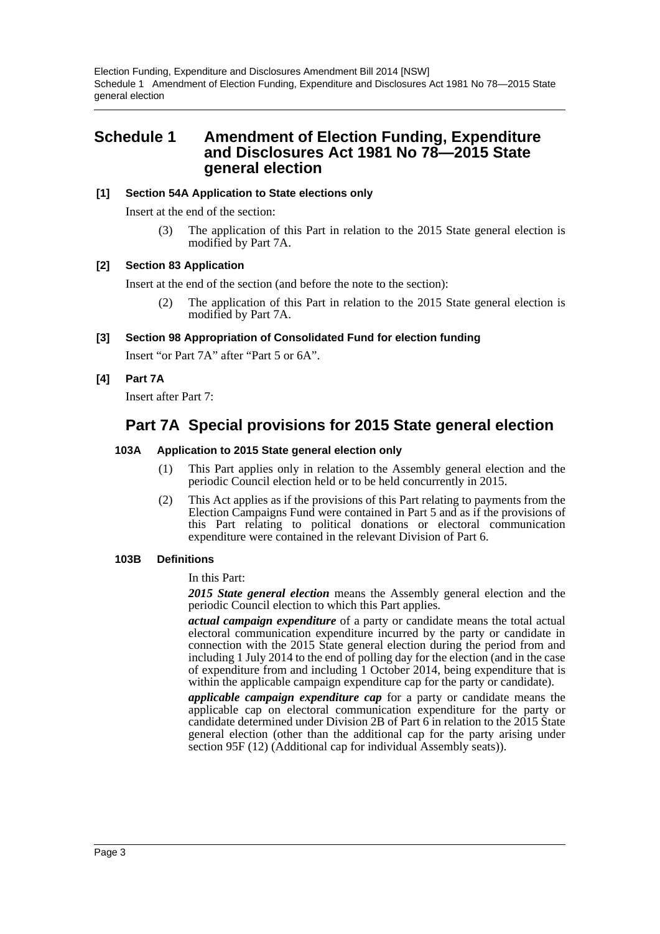Election Funding, Expenditure and Disclosures Amendment Bill 2014 [NSW] Schedule 1 Amendment of Election Funding, Expenditure and Disclosures Act 1981 No 78—2015 State general election

## <span id="page-3-0"></span>**Schedule 1 Amendment of Election Funding, Expenditure and Disclosures Act 1981 No 78—2015 State general election**

#### **[1] Section 54A Application to State elections only**

Insert at the end of the section:

(3) The application of this Part in relation to the 2015 State general election is modified by Part 7A.

#### **[2] Section 83 Application**

Insert at the end of the section (and before the note to the section):

(2) The application of this Part in relation to the 2015 State general election is modified by Part 7A.

#### **[3] Section 98 Appropriation of Consolidated Fund for election funding**

Insert "or Part 7A" after "Part 5 or 6A".

## **[4] Part 7A**

Insert after Part 7:

# **Part 7A Special provisions for 2015 State general election**

#### **103A Application to 2015 State general election only**

- (1) This Part applies only in relation to the Assembly general election and the periodic Council election held or to be held concurrently in 2015.
- (2) This Act applies as if the provisions of this Part relating to payments from the Election Campaigns Fund were contained in Part 5 and as if the provisions of this Part relating to political donations or electoral communication expenditure were contained in the relevant Division of Part 6.

#### **103B Definitions**

In this Part:

*2015 State general election* means the Assembly general election and the periodic Council election to which this Part applies.

*actual campaign expenditure* of a party or candidate means the total actual electoral communication expenditure incurred by the party or candidate in connection with the 2015 State general election during the period from and including 1 July 2014 to the end of polling day for the election (and in the case of expenditure from and including 1 October 2014, being expenditure that is within the applicable campaign expenditure cap for the party or candidate).

*applicable campaign expenditure cap* for a party or candidate means the applicable cap on electoral communication expenditure for the party or candidate determined under Division 2B of Part 6 in relation to the 2015 State general election (other than the additional cap for the party arising under section 95F (12) (Additional cap for individual Assembly seats)).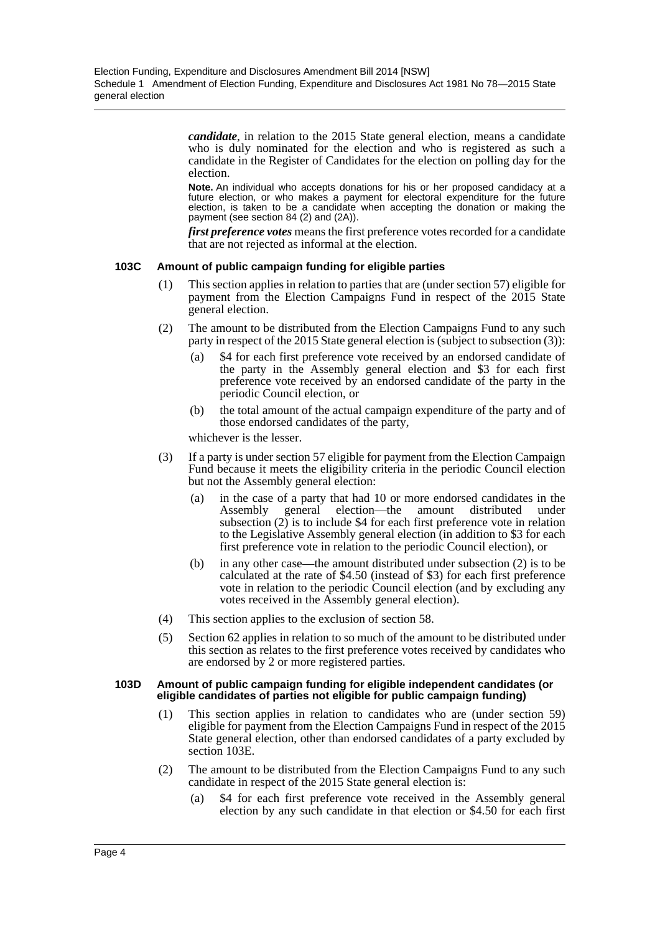*candidate*, in relation to the 2015 State general election, means a candidate who is duly nominated for the election and who is registered as such a candidate in the Register of Candidates for the election on polling day for the election.

**Note.** An individual who accepts donations for his or her proposed candidacy at a future election, or who makes a payment for electoral expenditure for the future election, is taken to be a candidate when accepting the donation or making the payment (see section 84 (2) and (2A)).

*first preference votes* means the first preference votes recorded for a candidate that are not rejected as informal at the election.

#### **103C Amount of public campaign funding for eligible parties**

- (1) This section applies in relation to parties that are (under section 57) eligible for payment from the Election Campaigns Fund in respect of the 2015 State general election.
- (2) The amount to be distributed from the Election Campaigns Fund to any such party in respect of the 2015 State general election is (subject to subsection (3)):
	- (a) \$4 for each first preference vote received by an endorsed candidate of the party in the Assembly general election and \$3 for each first preference vote received by an endorsed candidate of the party in the periodic Council election, or
	- (b) the total amount of the actual campaign expenditure of the party and of those endorsed candidates of the party,

whichever is the lesser.

- (3) If a party is under section 57 eligible for payment from the Election Campaign Fund because it meets the eligibility criteria in the periodic Council election but not the Assembly general election:
	- (a) in the case of a party that had 10 or more endorsed candidates in the Assembly general election—the amount distributed under subsection (2) is to include \$4 for each first preference vote in relation to the Legislative Assembly general election (in addition to \$3 for each first preference vote in relation to the periodic Council election), or
	- (b) in any other case—the amount distributed under subsection (2) is to be calculated at the rate of \$4.50 (instead of \$3) for each first preference vote in relation to the periodic Council election (and by excluding any votes received in the Assembly general election).
- (4) This section applies to the exclusion of section 58.
- (5) Section 62 applies in relation to so much of the amount to be distributed under this section as relates to the first preference votes received by candidates who are endorsed by 2 or more registered parties.

#### **103D Amount of public campaign funding for eligible independent candidates (or eligible candidates of parties not eligible for public campaign funding)**

- (1) This section applies in relation to candidates who are (under section 59) eligible for payment from the Election Campaigns Fund in respect of the 2015 State general election, other than endorsed candidates of a party excluded by section 103E.
- (2) The amount to be distributed from the Election Campaigns Fund to any such candidate in respect of the 2015 State general election is:
	- (a) \$4 for each first preference vote received in the Assembly general election by any such candidate in that election or \$4.50 for each first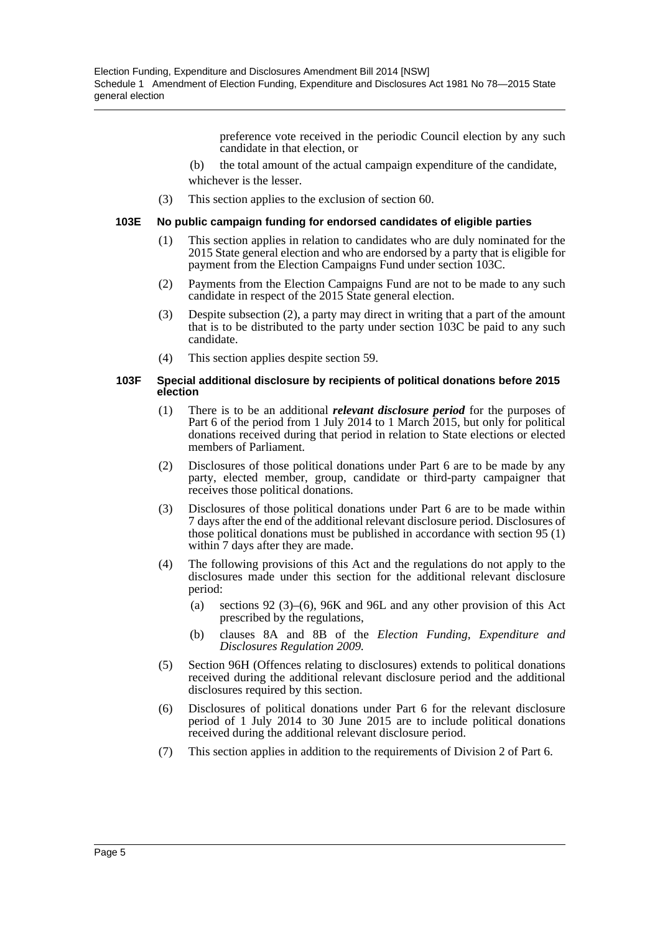preference vote received in the periodic Council election by any such candidate in that election, or

- (b) the total amount of the actual campaign expenditure of the candidate, whichever is the lesser.
- (3) This section applies to the exclusion of section 60.

#### **103E No public campaign funding for endorsed candidates of eligible parties**

- (1) This section applies in relation to candidates who are duly nominated for the 2015 State general election and who are endorsed by a party that is eligible for payment from the Election Campaigns Fund under section 103C.
- (2) Payments from the Election Campaigns Fund are not to be made to any such candidate in respect of the 2015 State general election.
- (3) Despite subsection (2), a party may direct in writing that a part of the amount that is to be distributed to the party under section 103C be paid to any such candidate.
- (4) This section applies despite section 59.

#### **103F Special additional disclosure by recipients of political donations before 2015 election**

- (1) There is to be an additional *relevant disclosure period* for the purposes of Part 6 of the period from 1 July 2014 to 1 March 2015, but only for political donations received during that period in relation to State elections or elected members of Parliament.
- (2) Disclosures of those political donations under Part 6 are to be made by any party, elected member, group, candidate or third-party campaigner that receives those political donations.
- (3) Disclosures of those political donations under Part 6 are to be made within 7 days after the end of the additional relevant disclosure period. Disclosures of those political donations must be published in accordance with section 95 (1) within 7 days after they are made.
- (4) The following provisions of this Act and the regulations do not apply to the disclosures made under this section for the additional relevant disclosure period:
	- (a) sections 92 (3)–(6), 96K and 96L and any other provision of this Act prescribed by the regulations,
	- (b) clauses 8A and 8B of the *Election Funding, Expenditure and Disclosures Regulation 2009.*
- (5) Section 96H (Offences relating to disclosures) extends to political donations received during the additional relevant disclosure period and the additional disclosures required by this section.
- (6) Disclosures of political donations under Part 6 for the relevant disclosure period of 1 July 2014 to 30 June 2015 are to include political donations received during the additional relevant disclosure period.
- (7) This section applies in addition to the requirements of Division 2 of Part 6.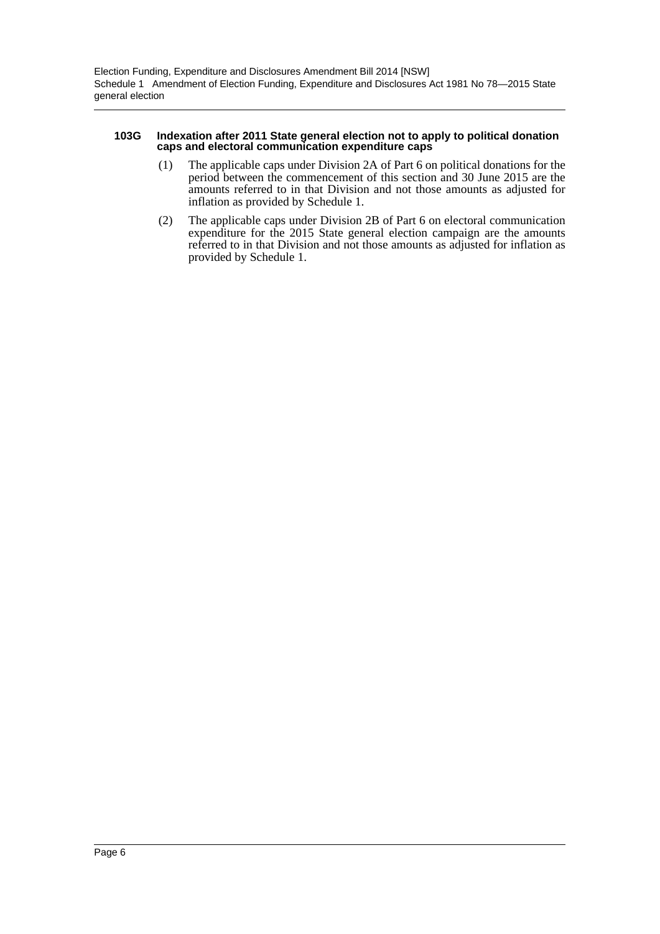#### **103G Indexation after 2011 State general election not to apply to political donation caps and electoral communication expenditure caps**

- (1) The applicable caps under Division 2A of Part 6 on political donations for the period between the commencement of this section and 30 June 2015 are the amounts referred to in that Division and not those amounts as adjusted for inflation as provided by Schedule 1.
- (2) The applicable caps under Division 2B of Part 6 on electoral communication expenditure for the 2015 State general election campaign are the amounts referred to in that Division and not those amounts as adjusted for inflation as provided by Schedule 1.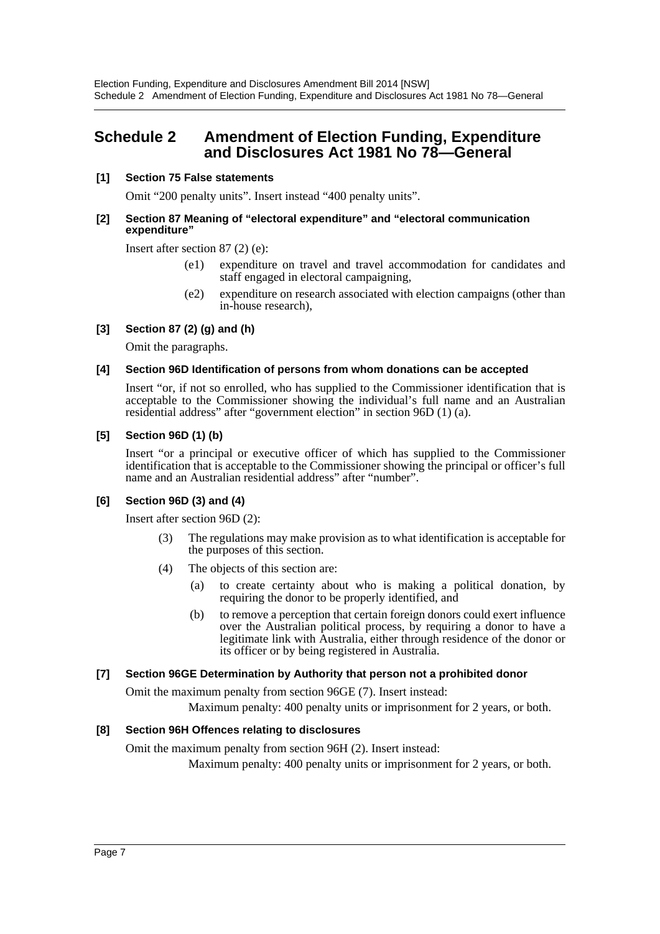# <span id="page-7-0"></span>**Schedule 2 Amendment of Election Funding, Expenditure and Disclosures Act 1981 No 78—General**

## **[1] Section 75 False statements**

Omit "200 penalty units". Insert instead "400 penalty units".

#### **[2] Section 87 Meaning of "electoral expenditure" and "electoral communication expenditure"**

Insert after section 87 (2) (e):

- (e1) expenditure on travel and travel accommodation for candidates and staff engaged in electoral campaigning,
- (e2) expenditure on research associated with election campaigns (other than in-house research),

## **[3] Section 87 (2) (g) and (h)**

Omit the paragraphs.

## **[4] Section 96D Identification of persons from whom donations can be accepted**

Insert "or, if not so enrolled, who has supplied to the Commissioner identification that is acceptable to the Commissioner showing the individual's full name and an Australian residential address" after "government election" in section 96D (1) (a).

## **[5] Section 96D (1) (b)**

Insert "or a principal or executive officer of which has supplied to the Commissioner identification that is acceptable to the Commissioner showing the principal or officer's full name and an Australian residential address" after "number".

## **[6] Section 96D (3) and (4)**

Insert after section 96D (2):

- (3) The regulations may make provision as to what identification is acceptable for the purposes of this section.
- (4) The objects of this section are:
	- (a) to create certainty about who is making a political donation, by requiring the donor to be properly identified, and
	- (b) to remove a perception that certain foreign donors could exert influence over the Australian political process, by requiring a donor to have a legitimate link with Australia, either through residence of the donor or its officer or by being registered in Australia.

## **[7] Section 96GE Determination by Authority that person not a prohibited donor**

Omit the maximum penalty from section 96GE (7). Insert instead:

Maximum penalty: 400 penalty units or imprisonment for 2 years, or both.

## **[8] Section 96H Offences relating to disclosures**

Omit the maximum penalty from section 96H (2). Insert instead:

Maximum penalty: 400 penalty units or imprisonment for 2 years, or both.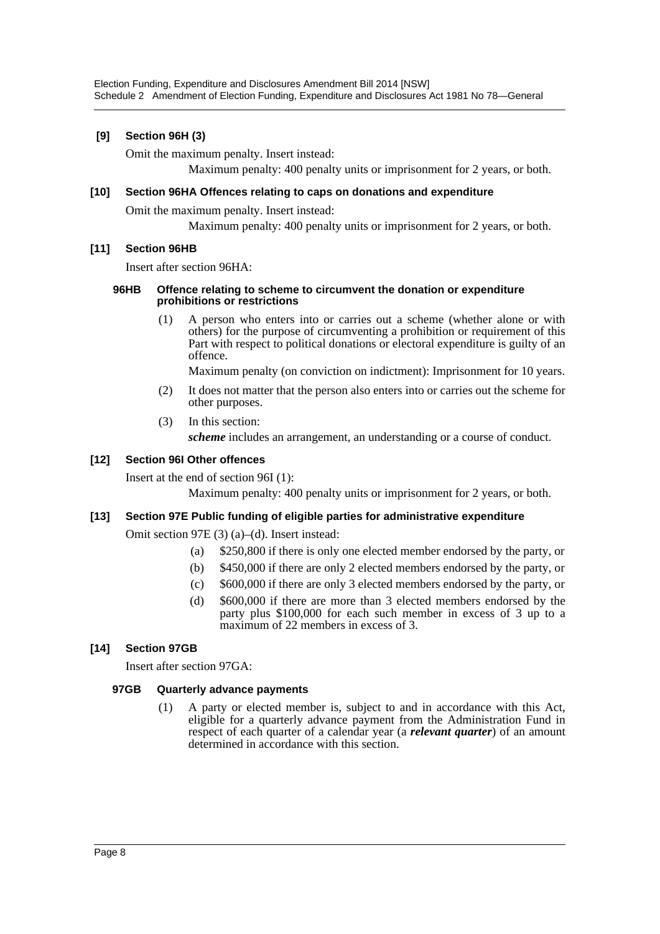## **[9] Section 96H (3)**

Omit the maximum penalty. Insert instead:

Maximum penalty: 400 penalty units or imprisonment for 2 years, or both.

## **[10] Section 96HA Offences relating to caps on donations and expenditure**

Omit the maximum penalty. Insert instead:

Maximum penalty: 400 penalty units or imprisonment for 2 years, or both.

## **[11] Section 96HB**

Insert after section 96HA:

#### **96HB Offence relating to scheme to circumvent the donation or expenditure prohibitions or restrictions**

(1) A person who enters into or carries out a scheme (whether alone or with others) for the purpose of circumventing a prohibition or requirement of this Part with respect to political donations or electoral expenditure is guilty of an offence.

Maximum penalty (on conviction on indictment): Imprisonment for 10 years.

- (2) It does not matter that the person also enters into or carries out the scheme for other purposes.
- (3) In this section:

*scheme* includes an arrangement, an understanding or a course of conduct.

## **[12] Section 96I Other offences**

Insert at the end of section 96I (1):

Maximum penalty: 400 penalty units or imprisonment for 2 years, or both.

#### **[13] Section 97E Public funding of eligible parties for administrative expenditure**

Omit section 97E (3) (a)–(d). Insert instead:

- (a) \$250,800 if there is only one elected member endorsed by the party, or
- (b) \$450,000 if there are only 2 elected members endorsed by the party, or
- (c) \$600,000 if there are only 3 elected members endorsed by the party, or
- (d) \$600,000 if there are more than 3 elected members endorsed by the party plus \$100,000 for each such member in excess of 3 up to a maximum of 22 members in excess of 3.

## **[14] Section 97GB**

Insert after section 97GA:

#### **97GB Quarterly advance payments**

(1) A party or elected member is, subject to and in accordance with this Act, eligible for a quarterly advance payment from the Administration Fund in respect of each quarter of a calendar year (a *relevant quarter*) of an amount determined in accordance with this section.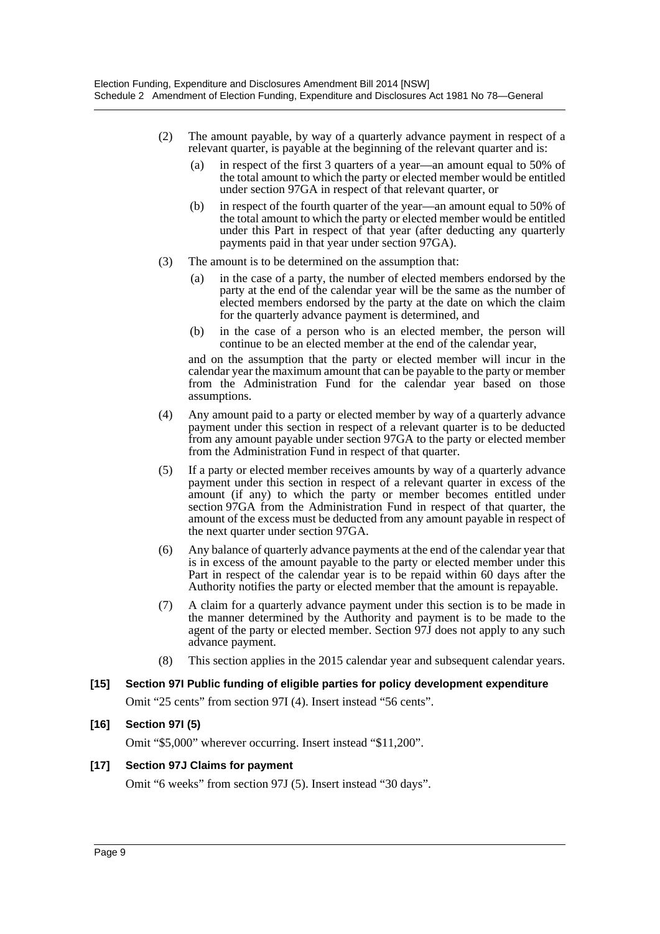- (2) The amount payable, by way of a quarterly advance payment in respect of a relevant quarter, is payable at the beginning of the relevant quarter and is:
	- (a) in respect of the first 3 quarters of a year—an amount equal to 50% of the total amount to which the party or elected member would be entitled under section 97GA in respect of that relevant quarter, or
	- (b) in respect of the fourth quarter of the year—an amount equal to 50% of the total amount to which the party or elected member would be entitled under this Part in respect of that year (after deducting any quarterly payments paid in that year under section 97GA).
- (3) The amount is to be determined on the assumption that:
	- (a) in the case of a party, the number of elected members endorsed by the party at the end of the calendar year will be the same as the number of elected members endorsed by the party at the date on which the claim for the quarterly advance payment is determined, and
	- (b) in the case of a person who is an elected member, the person will continue to be an elected member at the end of the calendar year,

and on the assumption that the party or elected member will incur in the calendar year the maximum amount that can be payable to the party or member from the Administration Fund for the calendar year based on those assumptions.

- (4) Any amount paid to a party or elected member by way of a quarterly advance payment under this section in respect of a relevant quarter is to be deducted from any amount payable under section 97GA to the party or elected member from the Administration Fund in respect of that quarter.
- (5) If a party or elected member receives amounts by way of a quarterly advance payment under this section in respect of a relevant quarter in excess of the amount (if any) to which the party or member becomes entitled under section 97GA from the Administration Fund in respect of that quarter, the amount of the excess must be deducted from any amount payable in respect of the next quarter under section 97GA.
- (6) Any balance of quarterly advance payments at the end of the calendar year that is in excess of the amount payable to the party or elected member under this Part in respect of the calendar year is to be repaid within 60 days after the Authority notifies the party or elected member that the amount is repayable.
- (7) A claim for a quarterly advance payment under this section is to be made in the manner determined by the Authority and payment is to be made to the agent of the party or elected member. Section  $\frac{1}{2}J\bar{J}$  does not apply to any such advance payment.
- (8) This section applies in the 2015 calendar year and subsequent calendar years.

#### **[15] Section 97I Public funding of eligible parties for policy development expenditure**

Omit "25 cents" from section 97I (4). Insert instead "56 cents".

#### **[16] Section 97I (5)**

Omit "\$5,000" wherever occurring. Insert instead "\$11,200".

#### **[17] Section 97J Claims for payment**

Omit "6 weeks" from section 97J (5). Insert instead "30 days".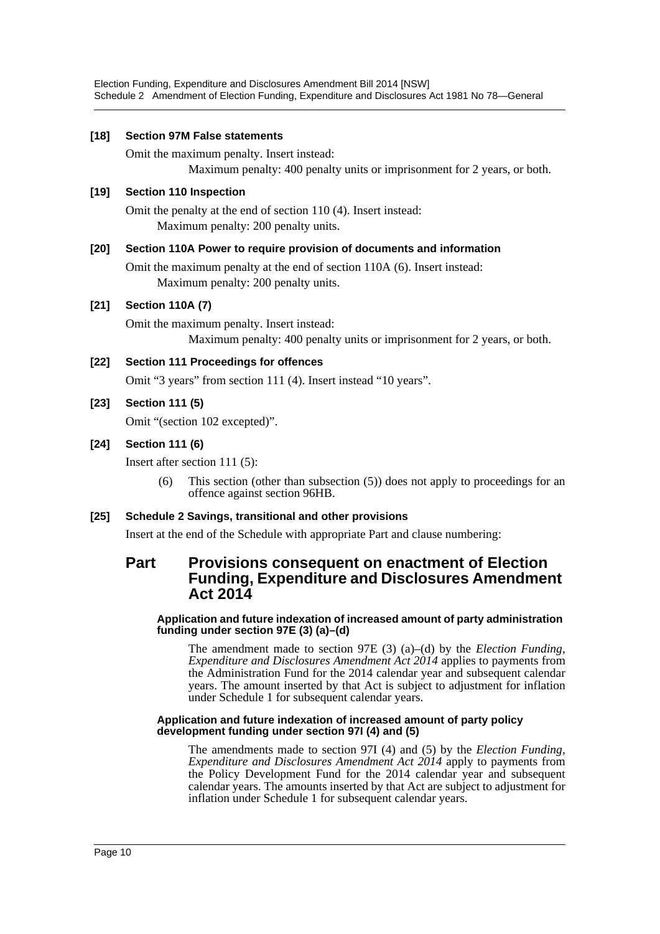#### **[18] Section 97M False statements**

Omit the maximum penalty. Insert instead:

Maximum penalty: 400 penalty units or imprisonment for 2 years, or both.

## **[19] Section 110 Inspection**

Omit the penalty at the end of section 110 (4). Insert instead: Maximum penalty: 200 penalty units.

## **[20] Section 110A Power to require provision of documents and information**

Omit the maximum penalty at the end of section 110A (6). Insert instead: Maximum penalty: 200 penalty units.

## **[21] Section 110A (7)**

Omit the maximum penalty. Insert instead: Maximum penalty: 400 penalty units or imprisonment for 2 years, or both.

## **[22] Section 111 Proceedings for offences**

Omit "3 years" from section 111 (4). Insert instead "10 years".

## **[23] Section 111 (5)**

Omit "(section 102 excepted)".

## **[24] Section 111 (6)**

Insert after section 111 (5):

(6) This section (other than subsection (5)) does not apply to proceedings for an offence against section 96HB.

#### **[25] Schedule 2 Savings, transitional and other provisions**

Insert at the end of the Schedule with appropriate Part and clause numbering:

## **Part Provisions consequent on enactment of Election Funding, Expenditure and Disclosures Amendment Act 2014**

#### **Application and future indexation of increased amount of party administration funding under section 97E (3) (a)–(d)**

The amendment made to section 97E (3) (a)–(d) by the *Election Funding, Expenditure and Disclosures Amendment Act 2014* applies to payments from the Administration Fund for the 2014 calendar year and subsequent calendar years. The amount inserted by that Act is subject to adjustment for inflation under Schedule 1 for subsequent calendar years.

#### **Application and future indexation of increased amount of party policy development funding under section 97I (4) and (5)**

The amendments made to section 97I (4) and (5) by the *Election Funding, Expenditure and Disclosures Amendment Act 2014* apply to payments from the Policy Development Fund for the 2014 calendar year and subsequent calendar years. The amounts inserted by that Act are subject to adjustment for inflation under Schedule 1 for subsequent calendar years.